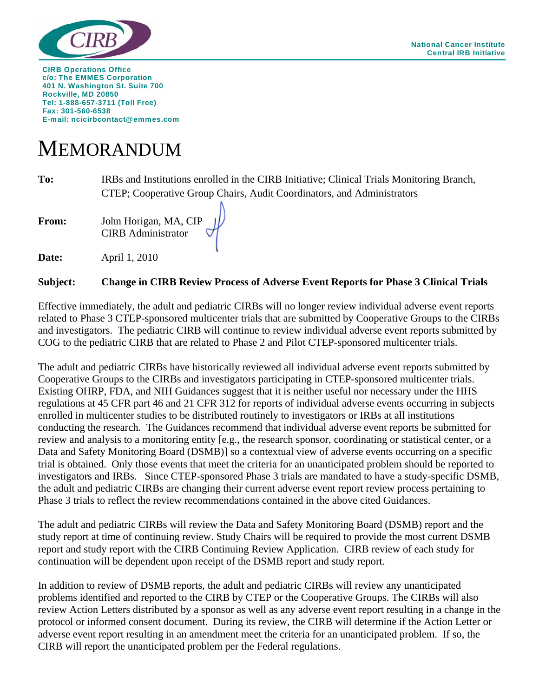

**CIRB Operations Office c/o: The EMMES Corporation 401 N. Washington St. Suite 700 Rockville, MD 20850 Tel: 1-888-657-3711 (Toll Free) Fax: 301-560-6538 E-mail: ncicirbcontact@emmes.com** 

## MEMORANDUM

**To:** IRBs and Institutions enrolled in the CIRB Initiative; Clinical Trials Monitoring Branch, CTEP; Cooperative Group Chairs, Audit Coordinators, and Administrators

**From:** John Horigan, MA, CIP CIRB Administrator

**Date: April 1, 2010** 

## **Subject: Change in CIRB Review Process of Adverse Event Reports for Phase 3 Clinical Trials**

Effective immediately, the adult and pediatric CIRBs will no longer review individual adverse event reports related to Phase 3 CTEP-sponsored multicenter trials that are submitted by Cooperative Groups to the CIRBs and investigators. The pediatric CIRB will continue to review individual adverse event reports submitted by COG to the pediatric CIRB that are related to Phase 2 and Pilot CTEP-sponsored multicenter trials.

The adult and pediatric CIRBs have historically reviewed all individual adverse event reports submitted by Cooperative Groups to the CIRBs and investigators participating in CTEP-sponsored multicenter trials. Existing OHRP, FDA, and NIH Guidances suggest that it is neither useful nor necessary under the HHS regulations at 45 CFR part 46 and 21 CFR 312 for reports of individual adverse events occurring in subjects enrolled in multicenter studies to be distributed routinely to investigators or IRBs at all institutions conducting the research. The Guidances recommend that individual adverse event reports be submitted for review and analysis to a monitoring entity [e.g., the research sponsor, coordinating or statistical center, or a Data and Safety Monitoring Board (DSMB)] so a contextual view of adverse events occurring on a specific trial is obtained. Only those events that meet the criteria for an unanticipated problem should be reported to investigators and IRBs. Since CTEP-sponsored Phase 3 trials are mandated to have a study-specific DSMB, the adult and pediatric CIRBs are changing their current adverse event report review process pertaining to Phase 3 trials to reflect the review recommendations contained in the above cited Guidances.

The adult and pediatric CIRBs will review the Data and Safety Monitoring Board (DSMB) report and the study report at time of continuing review. Study Chairs will be required to provide the most current DSMB report and study report with the CIRB Continuing Review Application. CIRB review of each study for continuation will be dependent upon receipt of the DSMB report and study report.

In addition to review of DSMB reports, the adult and pediatric CIRBs will review any unanticipated problems identified and reported to the CIRB by CTEP or the Cooperative Groups. The CIRBs will also review Action Letters distributed by a sponsor as well as any adverse event report resulting in a change in the protocol or informed consent document. During its review, the CIRB will determine if the Action Letter or adverse event report resulting in an amendment meet the criteria for an unanticipated problem. If so, the CIRB will report the unanticipated problem per the Federal regulations.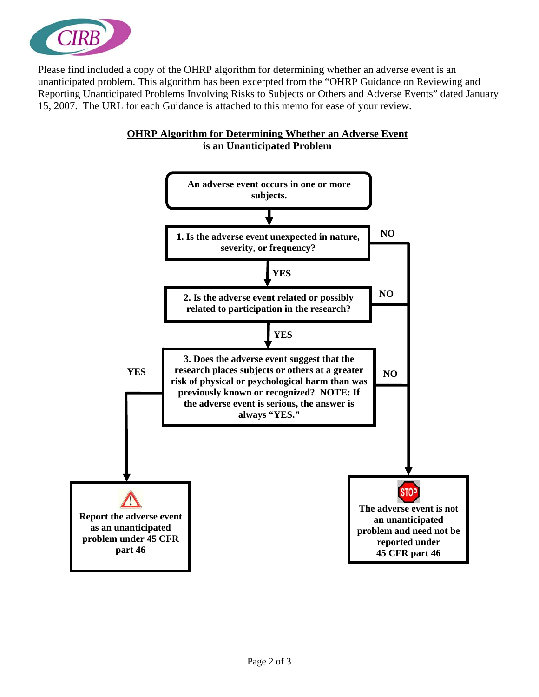

Please find included a copy of the OHRP algorithm for determining whether an adverse event is an unanticipated problem. This algorithm has been excerpted from the "OHRP Guidance on Reviewing and Reporting Unanticipated Problems Involving Risks to Subjects or Others and Adverse Events" dated January 15, 2007. The URL for each Guidance is attached to this memo for ease of your review.



## **OHRP Algorithm for Determining Whether an Adverse Event is an Unanticipated Problem**